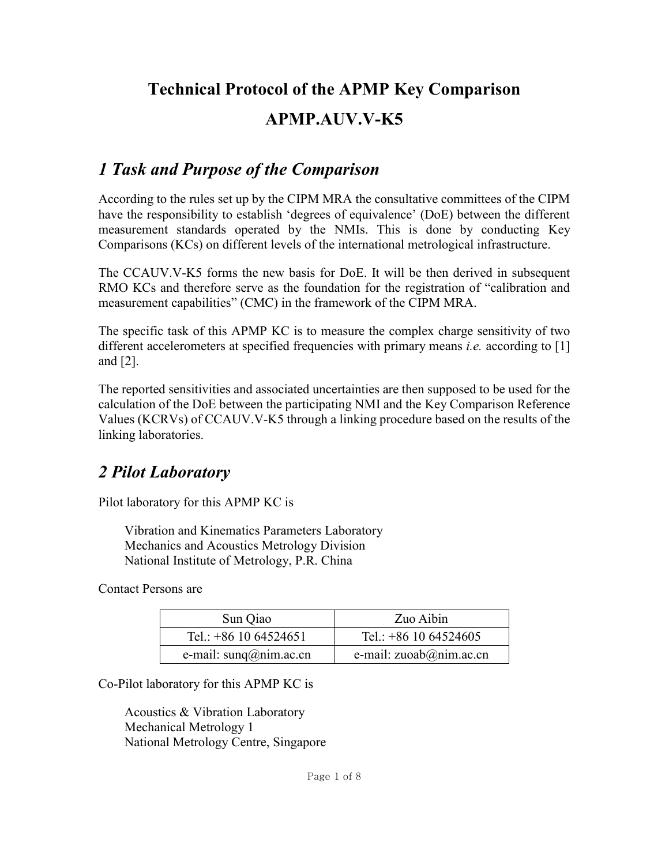# **Technical Protocol of the APMP Key Comparison APMP.AUV.V-K5**

### *1 Task and Purpose of the Comparison*

According to the rules set up by the CIPM MRA the consultative committees of the CIPM have the responsibility to establish 'degrees of equivalence' (DoE) between the different measurement standards operated by the NMIs. This is done by conducting Key Comparisons (KCs) on different levels of the international metrological infrastructure.

The CCAUV.V-K5 forms the new basis for DoE. It will be then derived in subsequent RMO KCs and therefore serve as the foundation for the registration of "calibration and measurement capabilities" (CMC) in the framework of the CIPM MRA.

The specific task of this APMP KC is to measure the complex charge sensitivity of two different accelerometers at specified frequencies with primary means *i.e.* according to [1] and [2].

The reported sensitivities and associated uncertainties are then supposed to be used for the calculation of the DoE between the participating NMI and the Key Comparison Reference Values (KCRVs) of CCAUV.V-K5 through a linking procedure based on the results of the linking laboratories.

## *2 Pilot Laboratory*

Pilot laboratory for this APMP KC is

Vibration and Kinematics Parameters Laboratory Mechanics and Acoustics Metrology Division National Institute of Metrology, P.R. China

Contact Persons are

| Sun Qiao                          | Zuo Aibin                         |
|-----------------------------------|-----------------------------------|
| Tel.: $+86$ 10 64524651           | Tel.: $+86$ 10 64524605           |
| e-mail: $\text{sum}(a)$ nim.ac.cn | e-mail: $zuoab(\omega)$ nim.ac.cn |

Co-Pilot laboratory for this APMP KC is

Acoustics & Vibration Laboratory Mechanical Metrology 1 National Metrology Centre, Singapore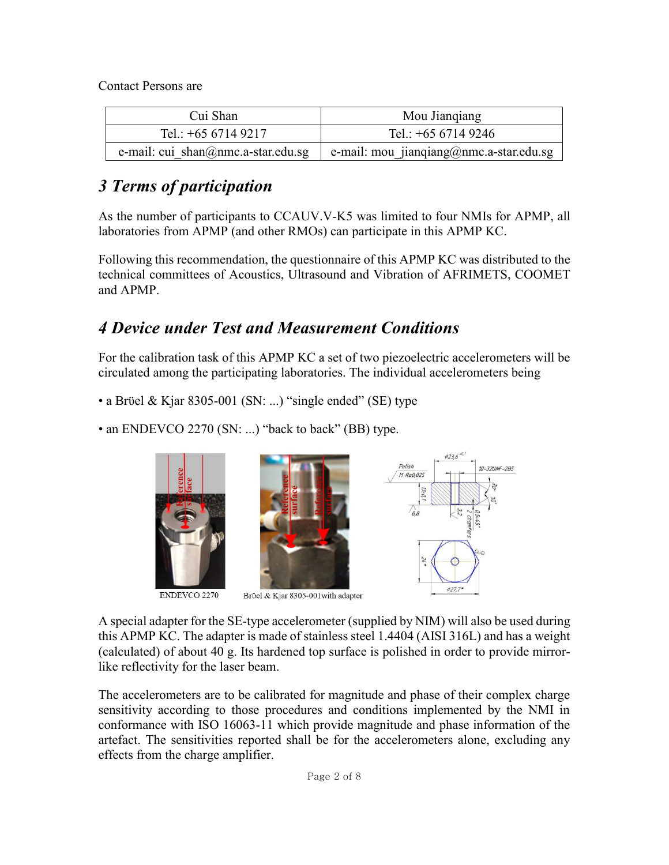Contact Persons are

| Cui Shan                           | Mou Jiangiang                           |  |
|------------------------------------|-----------------------------------------|--|
| Tel.: $+6567149217$                | Tel.: $+6567149246$                     |  |
| e-mail: cui shan@nmc.a-star.edu.sg | e-mail: mou jianqiang@nmc.a-star.edu.sg |  |

## *3 Terms of participation*

As the number of participants to CCAUV.V-K5 was limited to four NMIs for APMP, all laboratories from APMP (and other RMOs) can participate in this APMP KC.

Following this recommendation, the questionnaire of this APMP KC was distributed to the technical committees of Acoustics, Ultrasound and Vibration of AFRIMETS, COOMET and APMP.

## *4 Device under Test and Measurement Conditions*

For the calibration task of this APMP KC a set of two piezoelectric accelerometers will be circulated among the participating laboratories. The individual accelerometers being

• a Brüel & Kjar 8305-001 (SN: ...) "single ended" (SE) type

• an ENDEVCO 2270 (SN: ...) "back to back" (BB) type.







A special adapter for the SE-type accelerometer (supplied by NIM) will also be used during this APMP KC. The adapter is made of stainless steel 1.4404 (AISI 316L) and has a weight (calculated) of about 40 g. Its hardened top surface is polished in order to provide mirrorlike reflectivity for the laser beam.

The accelerometers are to be calibrated for magnitude and phase of their complex charge sensitivity according to those procedures and conditions implemented by the NMI in conformance with ISO 16063-11 which provide magnitude and phase information of the artefact. The sensitivities reported shall be for the accelerometers alone, excluding any effects from the charge amplifier.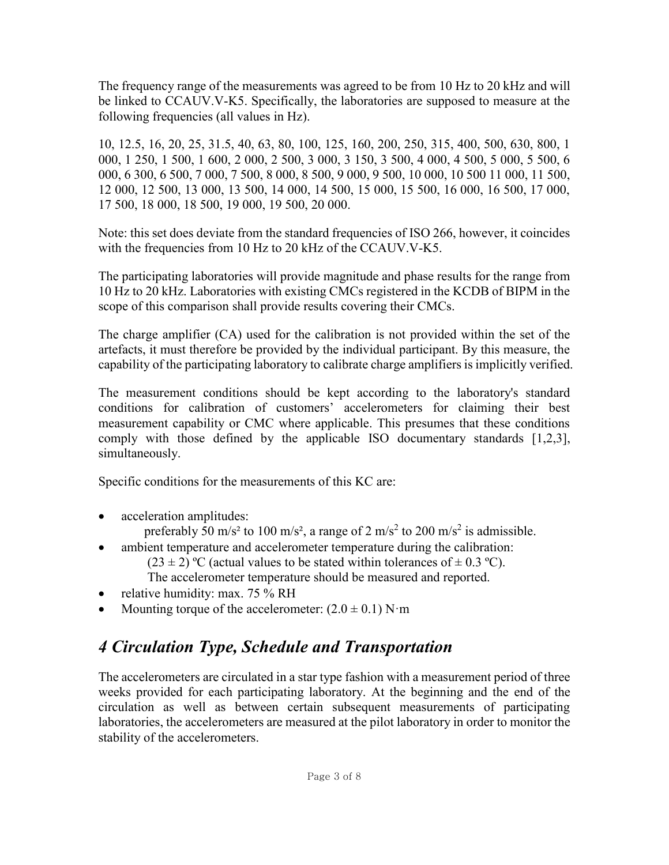The frequency range of the measurements was agreed to be from 10 Hz to 20 kHz and will be linked to CCAUV.V-K5. Specifically, the laboratories are supposed to measure at the following frequencies (all values in Hz).

10, 12.5, 16, 20, 25, 31.5, 40, 63, 80, 100, 125, 160, 200, 250, 315, 400, 500, 630, 800, 1 000, 1 250, 1 500, 1 600, 2 000, 2 500, 3 000, 3 150, 3 500, 4 000, 4 500, 5 000, 5 500, 6 000, 6 300, 6 500, 7 000, 7 500, 8 000, 8 500, 9 000, 9 500, 10 000, 10 500 11 000, 11 500, 12 000, 12 500, 13 000, 13 500, 14 000, 14 500, 15 000, 15 500, 16 000, 16 500, 17 000, 17 500, 18 000, 18 500, 19 000, 19 500, 20 000.

Note: this set does deviate from the standard frequencies of ISO 266, however, it coincides with the frequencies from 10 Hz to 20 kHz of the CCAUV.V-K5.

The participating laboratories will provide magnitude and phase results for the range from 10 Hz to 20 kHz. Laboratories with existing CMCs registered in the KCDB of BIPM in the scope of this comparison shall provide results covering their CMCs.

The charge amplifier (CA) used for the calibration is not provided within the set of the artefacts, it must therefore be provided by the individual participant. By this measure, the capability of the participating laboratory to calibrate charge amplifiers is implicitly verified.

The measurement conditions should be kept according to the laboratory's standard conditions for calibration of customers' accelerometers for claiming their best measurement capability or CMC where applicable. This presumes that these conditions comply with those defined by the applicable ISO documentary standards [1,2,3], simultaneously.

Specific conditions for the measurements of this KC are:

- acceleration amplitudes:
	- preferably 50 m/s<sup>2</sup> to 100 m/s<sup>2</sup>, a range of 2 m/s<sup>2</sup> to 200 m/s<sup>2</sup> is admissible.
- ambient temperature and accelerometer temperature during the calibration:  $(23 \pm 2)$  °C (actual values to be stated within tolerances of  $\pm$  0.3 °C).

The accelerometer temperature should be measured and reported.

- relative humidity: max. 75 % RH
- Mounting torque of the accelerometer:  $(2.0 \pm 0.1)$  N·m

## *4 Circulation Type, Schedule and Transportation*

The accelerometers are circulated in a star type fashion with a measurement period of three weeks provided for each participating laboratory. At the beginning and the end of the circulation as well as between certain subsequent measurements of participating laboratories, the accelerometers are measured at the pilot laboratory in order to monitor the stability of the accelerometers.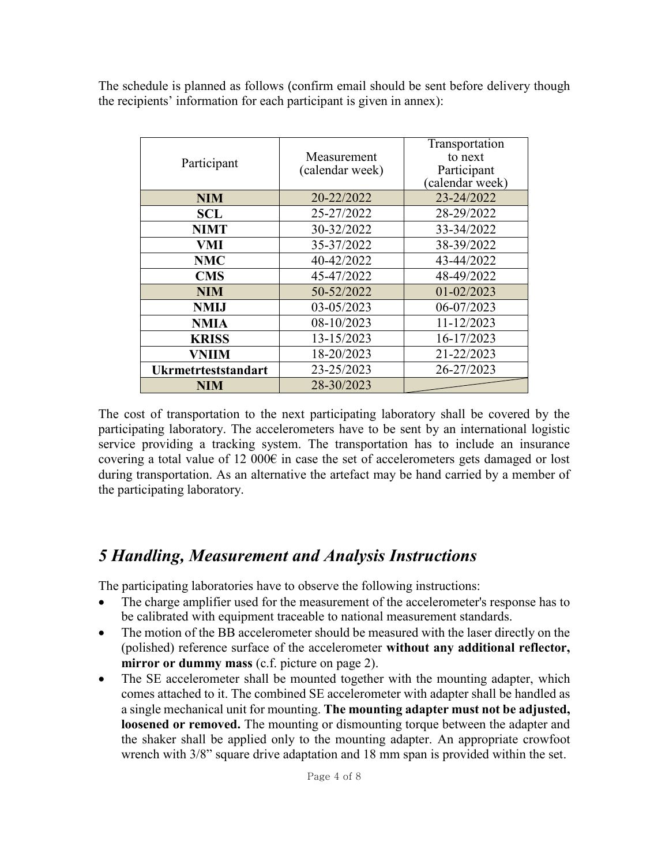The schedule is planned as follows (confirm email should be sent before delivery though the recipients' information for each participant is given in annex):

| Participant                | Measurement<br>(calendar week) | Transportation<br>to next<br>Participant<br>(calendar week) |
|----------------------------|--------------------------------|-------------------------------------------------------------|
| <b>NIM</b>                 | 20-22/2022                     | 23-24/2022                                                  |
| <b>SCL</b>                 | 25-27/2022                     | 28-29/2022                                                  |
| <b>NIMT</b>                | 30-32/2022                     | 33-34/2022                                                  |
| <b>VMI</b>                 | 35-37/2022                     | 38-39/2022                                                  |
| <b>NMC</b>                 | 40-42/2022                     | 43-44/2022                                                  |
| <b>CMS</b>                 | 45-47/2022                     | 48-49/2022                                                  |
| <b>NIM</b>                 | 50-52/2022                     | 01-02/2023                                                  |
| <b>NMIJ</b>                | 03-05/2023                     | 06-07/2023                                                  |
| <b>NMIA</b>                | 08-10/2023                     | 11-12/2023                                                  |
| <b>KRISS</b>               | 13-15/2023                     | 16-17/2023                                                  |
| <b>VNIIM</b>               | 18-20/2023                     | 21-22/2023                                                  |
| <b>Ukrmetrteststandart</b> | 23-25/2023                     | 26-27/2023                                                  |
| <b>NIM</b>                 | 28-30/2023                     |                                                             |

The cost of transportation to the next participating laboratory shall be covered by the participating laboratory. The accelerometers have to be sent by an international logistic service providing a tracking system. The transportation has to include an insurance covering a total value of 12 000 $\epsilon$  in case the set of accelerometers gets damaged or lost during transportation. As an alternative the artefact may be hand carried by a member of the participating laboratory.

## *5 Handling, Measurement and Analysis Instructions*

The participating laboratories have to observe the following instructions:

- The charge amplifier used for the measurement of the accelerometer's response has to be calibrated with equipment traceable to national measurement standards.
- The motion of the BB accelerometer should be measured with the laser directly on the (polished) reference surface of the accelerometer **without any additional reflector, mirror or dummy mass** (c.f. picture on page 2).
- The SE accelerometer shall be mounted together with the mounting adapter, which comes attached to it. The combined SE accelerometer with adapter shall be handled as a single mechanical unit for mounting. **The mounting adapter must not be adjusted, loosened or removed.** The mounting or dismounting torque between the adapter and the shaker shall be applied only to the mounting adapter. An appropriate crowfoot wrench with 3/8" square drive adaptation and 18 mm span is provided within the set.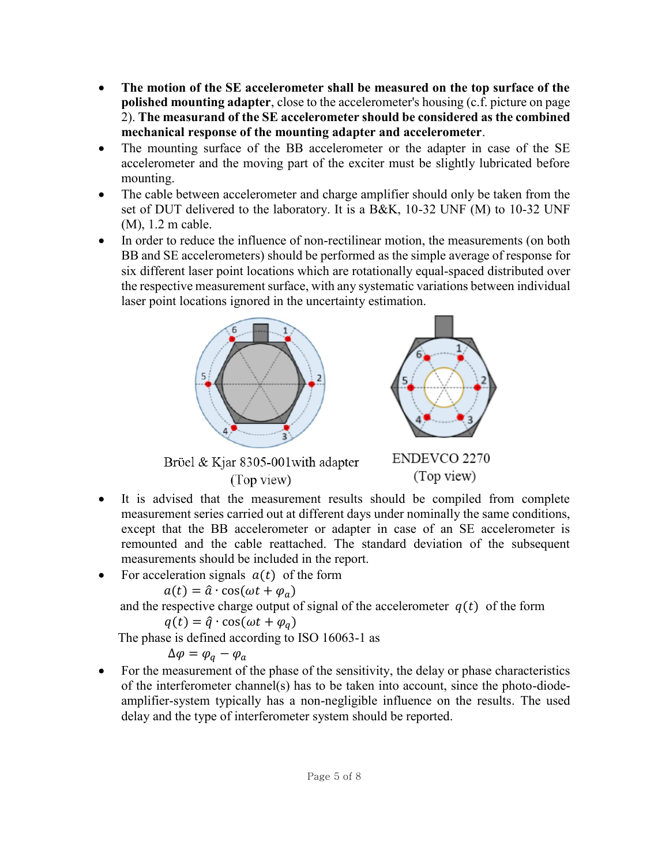- **The motion of the SE accelerometer shall be measured on the top surface of the polished mounting adapter**, close to the accelerometer's housing (c.f. picture on page 2). **The measurand of the SE accelerometer should be considered as the combined mechanical response of the mounting adapter and accelerometer**.
- The mounting surface of the BB accelerometer or the adapter in case of the SE accelerometer and the moving part of the exciter must be slightly lubricated before mounting.
- The cable between accelerometer and charge amplifier should only be taken from the set of DUT delivered to the laboratory. It is a B&K, 10-32 UNF (M) to 10-32 UNF (M), 1.2 m cable.
- In order to reduce the influence of non-rectilinear motion, the measurements (on both BB and SE accelerometers) should be performed as the simple average of response for six different laser point locations which are rotationally equal-spaced distributed over the respective measurement surface, with any systematic variations between individual laser point locations ignored in the uncertainty estimation.



 It is advised that the measurement results should be compiled from complete measurement series carried out at different days under nominally the same conditions, except that the BB accelerometer or adapter in case of an SE accelerometer is remounted and the cable reattached. The standard deviation of the subsequent measurements should be included in the report.

• For acceleration signals  $a(t)$  of the form

$$
a(t) = \hat{a} \cdot \cos(\omega t + \varphi_a)
$$

and the respective charge output of signal of the accelerometer  $q(t)$  of the form  $q(t) = \hat{q} \cdot \cos(\omega t + \varphi_a)$ 

The phase is defined according to ISO 16063-1 as

 $\Delta \varphi = \varphi_a - \varphi_a$ 

• For the measurement of the phase of the sensitivity, the delay or phase characteristics of the interferometer channel(s) has to be taken into account, since the photo-diodeamplifier-system typically has a non-negligible influence on the results. The used delay and the type of interferometer system should be reported.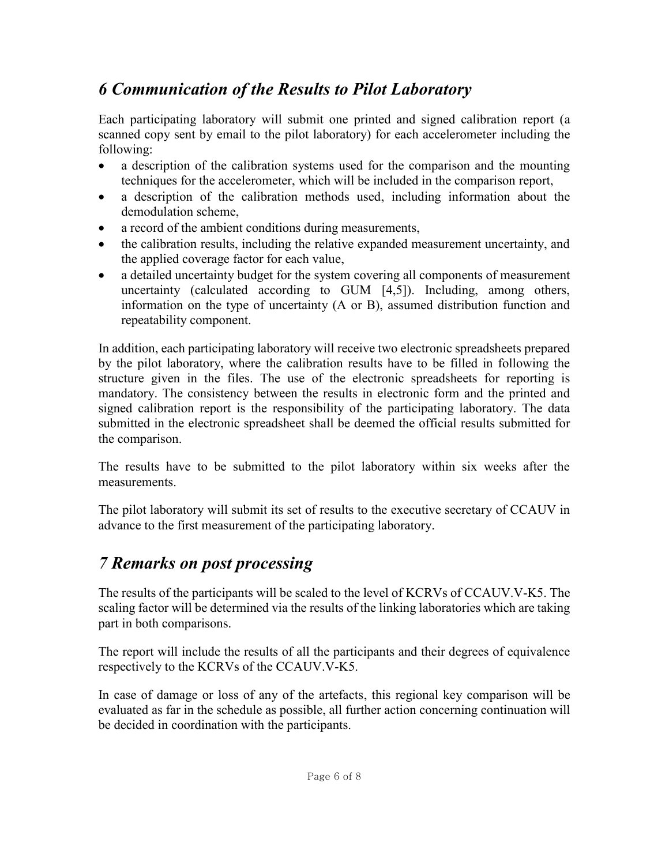## *6 Communication of the Results to Pilot Laboratory*

Each participating laboratory will submit one printed and signed calibration report (a scanned copy sent by email to the pilot laboratory) for each accelerometer including the following:

- a description of the calibration systems used for the comparison and the mounting techniques for the accelerometer, which will be included in the comparison report,
- a description of the calibration methods used, including information about the demodulation scheme,
- a record of the ambient conditions during measurements,
- the calibration results, including the relative expanded measurement uncertainty, and the applied coverage factor for each value,
- a detailed uncertainty budget for the system covering all components of measurement uncertainty (calculated according to GUM [4,5]). Including, among others, information on the type of uncertainty (A or B), assumed distribution function and repeatability component.

In addition, each participating laboratory will receive two electronic spreadsheets prepared by the pilot laboratory, where the calibration results have to be filled in following the structure given in the files. The use of the electronic spreadsheets for reporting is mandatory. The consistency between the results in electronic form and the printed and signed calibration report is the responsibility of the participating laboratory. The data submitted in the electronic spreadsheet shall be deemed the official results submitted for the comparison.

The results have to be submitted to the pilot laboratory within six weeks after the measurements.

The pilot laboratory will submit its set of results to the executive secretary of CCAUV in advance to the first measurement of the participating laboratory.

## *7 Remarks on post processing*

The results of the participants will be scaled to the level of KCRVs of CCAUV.V-K5. The scaling factor will be determined via the results of the linking laboratories which are taking part in both comparisons.

The report will include the results of all the participants and their degrees of equivalence respectively to the KCRVs of the CCAUV.V-K5.

In case of damage or loss of any of the artefacts, this regional key comparison will be evaluated as far in the schedule as possible, all further action concerning continuation will be decided in coordination with the participants.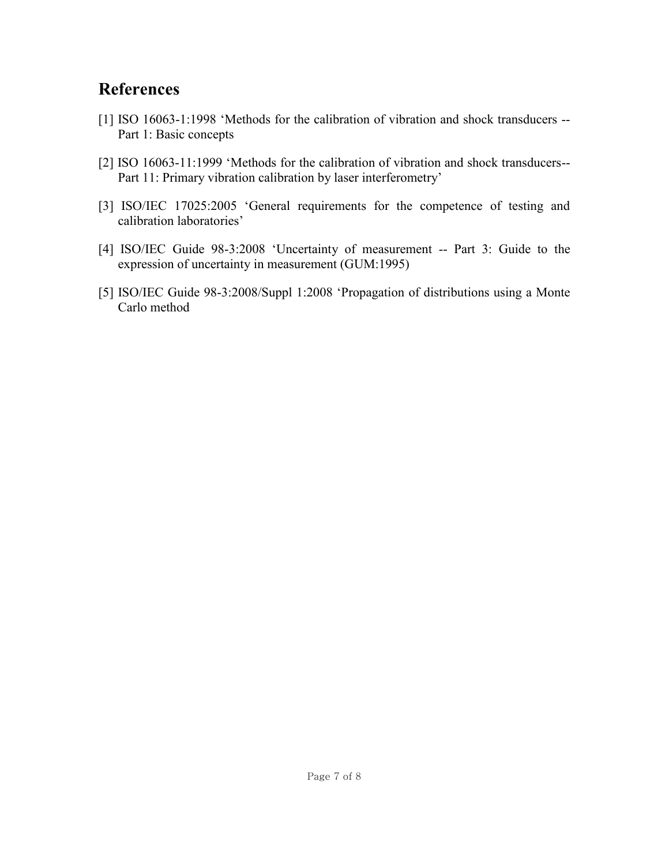### **References**

- [1] ISO 16063-1:1998 'Methods for the calibration of vibration and shock transducers -- Part 1: Basic concepts
- [2] ISO 16063-11:1999 'Methods for the calibration of vibration and shock transducers-- Part 11: Primary vibration calibration by laser interferometry'
- [3] ISO/IEC 17025:2005 'General requirements for the competence of testing and calibration laboratories'
- [4] ISO/IEC Guide 98-3:2008 'Uncertainty of measurement -- Part 3: Guide to the expression of uncertainty in measurement (GUM:1995)
- [5] ISO/IEC Guide 98-3:2008/Suppl 1:2008 'Propagation of distributions using a Monte Carlo method